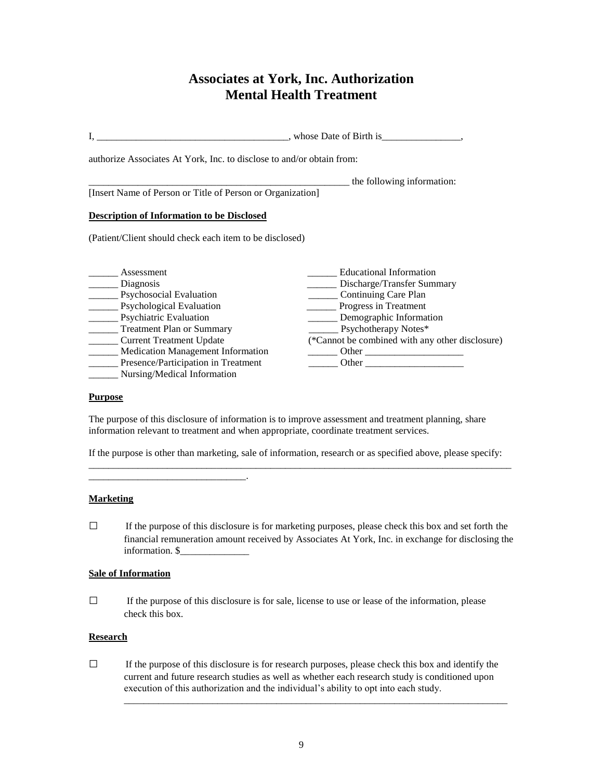# **Associates at York, Inc. Authorization Mental Health Treatment**

| authorize Associates At York, Inc. to disclose to and/or obtain from: |                                                                                                                                                                                                                               |
|-----------------------------------------------------------------------|-------------------------------------------------------------------------------------------------------------------------------------------------------------------------------------------------------------------------------|
|                                                                       | the following information:                                                                                                                                                                                                    |
| [Insert Name of Person or Title of Person or Organization]            |                                                                                                                                                                                                                               |
| <b>Description of Information to be Disclosed</b>                     |                                                                                                                                                                                                                               |
| (Patient/Client should check each item to be disclosed)               |                                                                                                                                                                                                                               |
| Assessment                                                            | Educational Information                                                                                                                                                                                                       |
| Diagnosis                                                             | Discharge/Transfer Summary                                                                                                                                                                                                    |
| Psychosocial Evaluation                                               | Continuing Care Plan                                                                                                                                                                                                          |
| <b>Psychological Evaluation</b>                                       | Progress in Treatment                                                                                                                                                                                                         |
| Psychiatric Evaluation                                                | Demographic Information                                                                                                                                                                                                       |
| <b>Treatment Plan or Summary</b>                                      | Psychotherapy Notes*                                                                                                                                                                                                          |
| <b>Current Treatment Update</b>                                       | (*Cannot be combined with any other disclosure)                                                                                                                                                                               |
| <b>Medication Management Information</b>                              | $\frac{1}{2}$ Other $\frac{1}{2}$ Other $\frac{1}{2}$                                                                                                                                                                         |
| Presence/Participation in Treatment                                   | Other and the contract of the contract of the contract of the contract of the contract of the contract of the contract of the contract of the contract of the contract of the contract of the contract of the contract of the |
| Nursing/Medical Information                                           |                                                                                                                                                                                                                               |

#### **Purpose**

The purpose of this disclosure of information is to improve assessment and treatment planning, share information relevant to treatment and when appropriate, coordinate treatment services.

If the purpose is other than marketing, sale of information, research or as specified above, please specify: \_\_\_\_\_\_\_\_\_\_\_\_\_\_\_\_\_\_\_\_\_\_\_\_\_\_\_\_\_\_\_\_\_\_\_\_\_\_\_\_\_\_\_\_\_\_\_\_\_\_\_\_\_\_\_\_\_\_\_\_\_\_\_\_\_\_\_\_\_\_\_\_\_\_\_\_\_\_\_\_\_\_\_\_\_\_

#### **Marketing**

 $\Box$  If the purpose of this disclosure is for marketing purposes, please check this box and set forth the financial remuneration amount received by Associates At York, Inc. in exchange for disclosing the information. \$\_\_\_\_\_\_\_\_\_\_\_\_\_\_

### **Sale of Information**

\_\_\_\_\_\_\_\_\_\_\_\_\_\_\_\_\_\_\_\_\_\_\_\_\_\_\_\_\_\_\_\_.

□ If the purpose of this disclosure is for sale, license to use or lease of the information, please check this box.

#### **Research**

 $\Box$  If the purpose of this disclosure is for research purposes, please check this box and identify the current and future research studies as well as whether each research study is conditioned upon execution of this authorization and the individual's ability to opt into each study.

\_\_\_\_\_\_\_\_\_\_\_\_\_\_\_\_\_\_\_\_\_\_\_\_\_\_\_\_\_\_\_\_\_\_\_\_\_\_\_\_\_\_\_\_\_\_\_\_\_\_\_\_\_\_\_\_\_\_\_\_\_\_\_\_\_\_\_\_\_\_\_\_\_\_\_\_\_\_